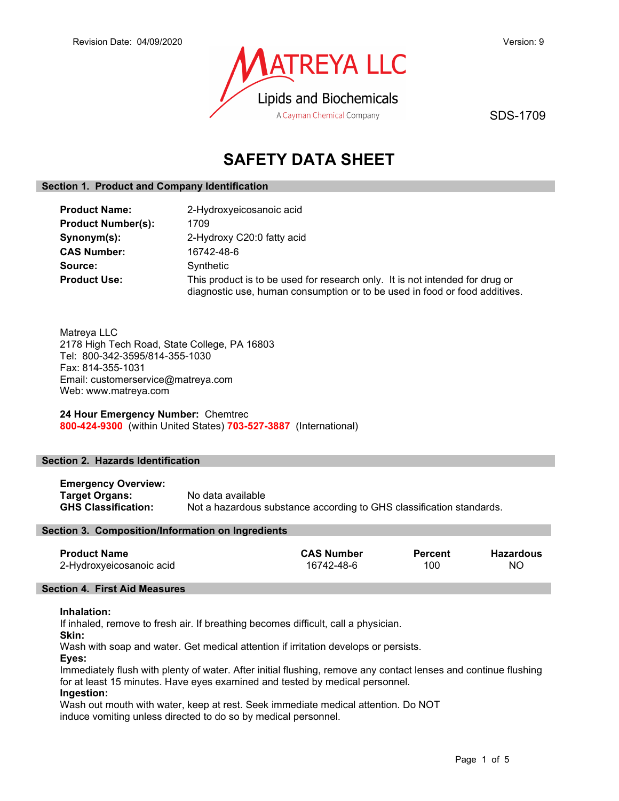

SDS-1709

# SAFETY DATA SHEET

## Section 1. Product and Company Identification

| <b>Product Name:</b>      | 2-Hydroxyeicosanoic acid                                                                                                                                   |
|---------------------------|------------------------------------------------------------------------------------------------------------------------------------------------------------|
| <b>Product Number(s):</b> | 1709                                                                                                                                                       |
| Synonym(s):               | 2-Hydroxy C20:0 fatty acid                                                                                                                                 |
| <b>CAS Number:</b>        | 16742-48-6                                                                                                                                                 |
| Source:                   | Synthetic                                                                                                                                                  |
| <b>Product Use:</b>       | This product is to be used for research only. It is not intended for drug or<br>diagnostic use, human consumption or to be used in food or food additives. |

Matreya LLC 2178 High Tech Road, State College, PA 16803 Tel: 800-342-3595/814-355-1030 Fax: 814-355-1031 Email: customerservice@matreya.com Web: www.matreya.com

24 Hour Emergency Number: Chemtrec 800-424-9300 (within United States) 703-527-3887 (International)

## Section 2. Hazards Identification

| <b>Emergency Overview:</b> |                                                                      |
|----------------------------|----------------------------------------------------------------------|
| Target Organs:             | No data available                                                    |
| <b>GHS Classification:</b> | Not a hazardous substance according to GHS classification standards. |

## Section 3. Composition/Information on Ingredients

| <b>CAS Number</b><br><b>Percent</b> | <b>Hazardous</b> |
|-------------------------------------|------------------|
| 100<br>16742-48-6                   | ΝO               |
|                                     |                  |

## Section 4. First Aid Measures

## Inhalation:

If inhaled, remove to fresh air. If breathing becomes difficult, call a physician.

Skin:

Wash with soap and water. Get medical attention if irritation develops or persists.

Eyes:

Immediately flush with plenty of water. After initial flushing, remove any contact lenses and continue flushing for at least 15 minutes. Have eyes examined and tested by medical personnel.

## Ingestion:

Wash out mouth with water, keep at rest. Seek immediate medical attention. Do NOT induce vomiting unless directed to do so by medical personnel.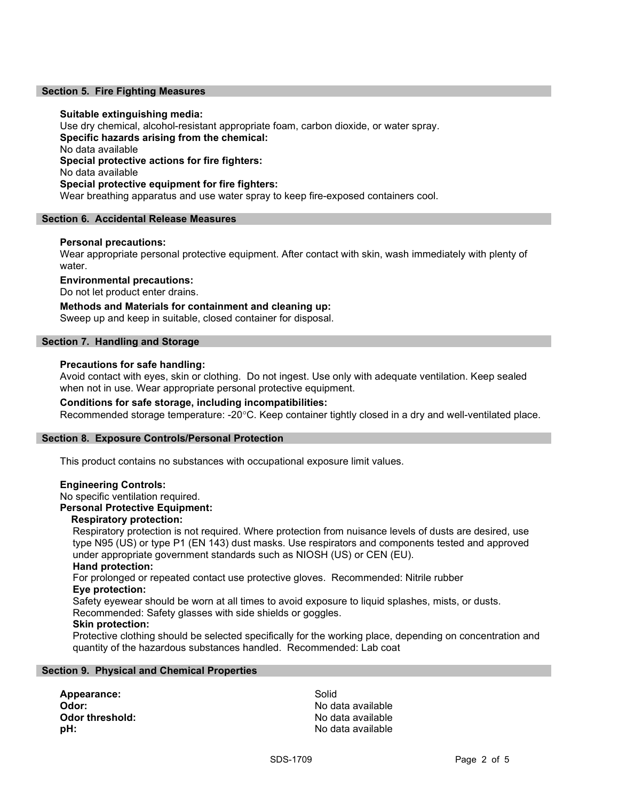## Section 5. Fire Fighting Measures

## Suitable extinguishing media:

Use dry chemical, alcohol-resistant appropriate foam, carbon dioxide, or water spray. Specific hazards arising from the chemical: No data available Special protective actions for fire fighters: No data available Special protective equipment for fire fighters: Wear breathing apparatus and use water spray to keep fire-exposed containers cool.

## Section 6. Accidental Release Measures

## Personal precautions:

Wear appropriate personal protective equipment. After contact with skin, wash immediately with plenty of water.

## Environmental precautions:

Do not let product enter drains.

Methods and Materials for containment and cleaning up: Sweep up and keep in suitable, closed container for disposal.

## Section 7. Handling and Storage

## Precautions for safe handling:

Avoid contact with eyes, skin or clothing. Do not ingest. Use only with adequate ventilation. Keep sealed when not in use. Wear appropriate personal protective equipment.

## Conditions for safe storage, including incompatibilities:

Recommended storage temperature: -20°C. Keep container tightly closed in a dry and well-ventilated place.

## Section 8. Exposure Controls/Personal Protection

This product contains no substances with occupational exposure limit values.

## Engineering Controls:

No specific ventilation required.

## Personal Protective Equipment:

## Respiratory protection:

Respiratory protection is not required. Where protection from nuisance levels of dusts are desired, use type N95 (US) or type P1 (EN 143) dust masks. Use respirators and components tested and approved under appropriate government standards such as NIOSH (US) or CEN (EU).

## Hand protection:

For prolonged or repeated contact use protective gloves. Recommended: Nitrile rubber Eye protection:

Safety eyewear should be worn at all times to avoid exposure to liquid splashes, mists, or dusts. Recommended: Safety glasses with side shields or goggles.

## Skin protection:

Protective clothing should be selected specifically for the working place, depending on concentration and quantity of the hazardous substances handled. Recommended: Lab coat

## Section 9. Physical and Chemical Properties

Appearance: Solid Odor: No data available Odor threshold: Contract the Society of the No data available **pH:**  $\blacksquare$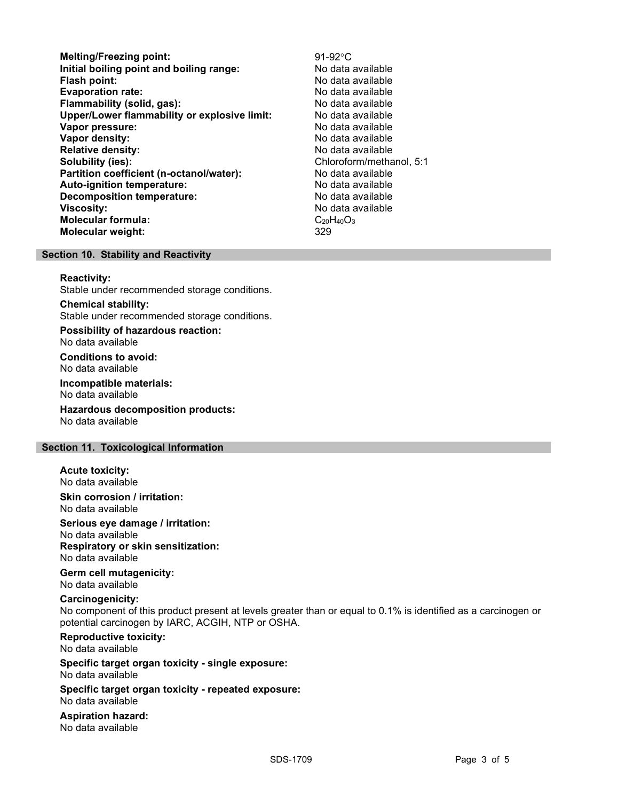- Melting/Freezing point:<br>
lnitial boiling point and boiling range:<br>
No data available Initial boiling point and boiling range: **Flash point:** No data available in the set of the set of the No data available in the set of the set of the set of the set of the set of the set of the set of the set of the set of the set of the set of the set of the set Evaporation rate: No data available Flammability (solid, gas): No data available Upper/Lower flammability or explosive limit: No data available Vapor pressure:  $\blacksquare$ Vapor density: No data available Relative density:<br>
Solubility (ies):<br>
Solubility (ies):<br>
No data available<br>
Chloroform/metha Partition coefficient (n-octanol/water): No data available Auto-ignition temperature: No data available Decomposition temperature: No data available **Viscosity:** No data available in the set of the set of the set of the set of the set of the set of the set of the set of the set of the set of the set of the set of the set of the set of the set of the set of the set of t Molecular formula:  $C_{20}H_{40}O_3$ Molecular weight: 329
	- Chloroform/methanol, 5:1

## Section 10. Stability and Reactivity

#### Reactivity:

Stable under recommended storage conditions.

Chemical stability: Stable under recommended storage conditions.

Possibility of hazardous reaction: No data available

Conditions to avoid: No data available

Incompatible materials: No data available

Hazardous decomposition products: No data available

## Section 11. Toxicological Information

Acute toxicity: No data available

Skin corrosion / irritation: No data available

Serious eye damage / irritation: No data available

Respiratory or skin sensitization: No data available

Germ cell mutagenicity: No data available

## Carcinogenicity:

No component of this product present at levels greater than or equal to 0.1% is identified as a carcinogen or potential carcinogen by IARC, ACGIH, NTP or OSHA.

Reproductive toxicity:

No data available

Specific target organ toxicity - single exposure: No data available

Specific target organ toxicity - repeated exposure: No data available

Aspiration hazard: No data available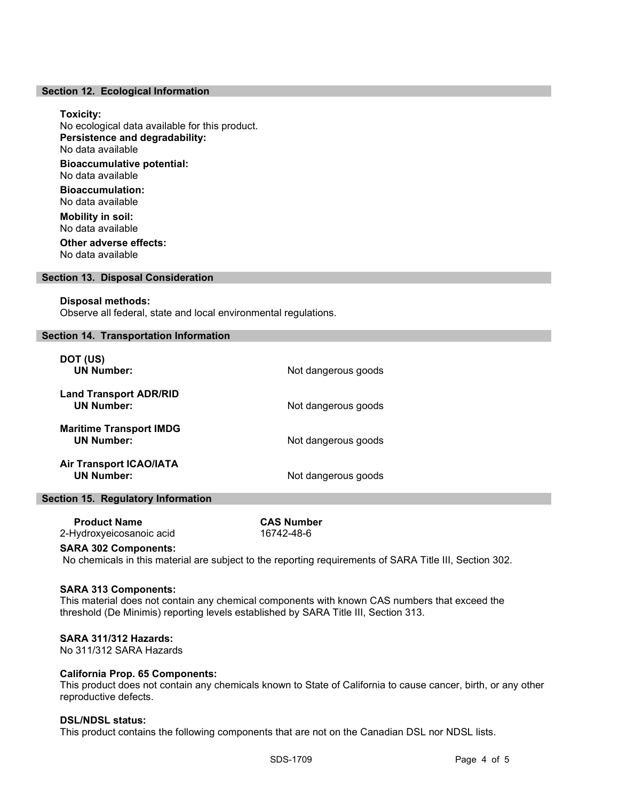## Section 12. Ecological Information

#### Toxicity:

No ecological data available for this product. Persistence and degradability: No data available Bioaccumulative potential: No data available

Bioaccumulation: No data available

Mobility in soil: No data available Other adverse effects:

No data available

## Section 13. Disposal Consideration

#### Disposal methods:

Observe all federal, state and local environmental regulations.

## Section 14. Transportation Information

| DOT (US)<br><b>UN Number:</b>                       | Not dangerous goods |
|-----------------------------------------------------|---------------------|
| <b>Land Transport ADR/RID</b><br><b>UN Number:</b>  | Not dangerous goods |
| <b>Maritime Transport IMDG</b><br><b>UN Number:</b> | Not dangerous goods |
| <b>Air Transport ICAO/IATA</b><br><b>UN Number:</b> | Not dangerous goods |

## Section 15. Regulatory Information

| <b>Product Name</b>      | <b>CAS Number</b> |  |
|--------------------------|-------------------|--|
| 2-Hydroxyeicosanoic acid | 16742-48-6        |  |

#### SARA 302 Components:

No chemicals in this material are subject to the reporting requirements of SARA Title III, Section 302.

## SARA 313 Components:

This material does not contain any chemical components with known CAS numbers that exceed the threshold (De Minimis) reporting levels established by SARA Title III, Section 313.

## SARA 311/312 Hazards:

No 311/312 SARA Hazards

## California Prop. 65 Components:

This product does not contain any chemicals known to State of California to cause cancer, birth, or any other reproductive defects.

#### DSL/NDSL status:

This product contains the following components that are not on the Canadian DSL nor NDSL lists.